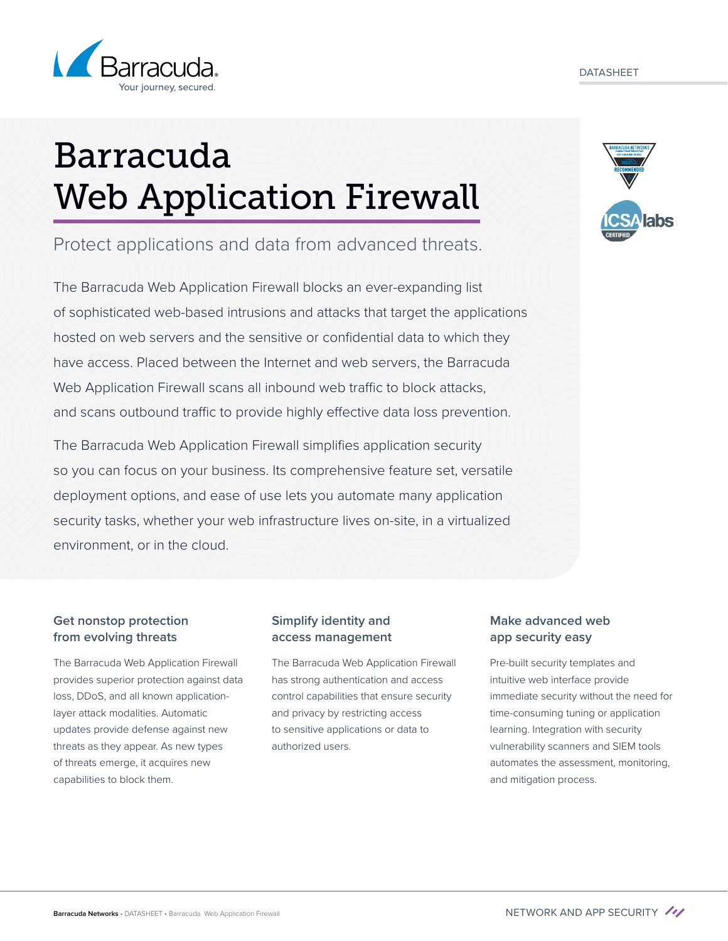

# Barracuda Web Application Firewall

Protect applications and data from advanced threats.

The Barracuda Web Application Firewall blocks an ever-expanding list of sophisticated web-based intrusions and attacks that target the applications hosted on web servers and the sensitive or confidential data to which they have access. Placed between the Internet and web servers, the Barracuda Web Application Firewall scans all inbound web traffic to block attacks, and scans outbound traffic to provide highly effective data loss prevention.

The Barracuda Web Application Firewall simplifies application security so you can focus on your business. Its comprehensive feature set, versatile deployment options, and ease of use lets you automate many application security tasks, whether your web infrastructure lives on-site, in a virtualized environment, or in the cloud.

## **Get nonstop protection from evolving threats**

The Barracuda Web Application Firewall provides superior protection against data loss, DDoS, and all known applicationlayer attack modalities. Automatic updates provide defense against new threats as they appear. As new types of threats emerge, it acquires new capabilities to block them.

## **Simplify identity and access management**

The Barracuda Web Application Firewall has strong authentication and access control capabilities that ensure security and privacy by restricting access to sensitive applications or data to authorized users.

## **Make advanced web app security easy**

Pre-built security templates and intuitive web interface provide immediate security without the need for time-consuming tuning or application learning. Integration with security vulnerability scanners and SIEM tools automates the assessment, monitoring, and mitigation process.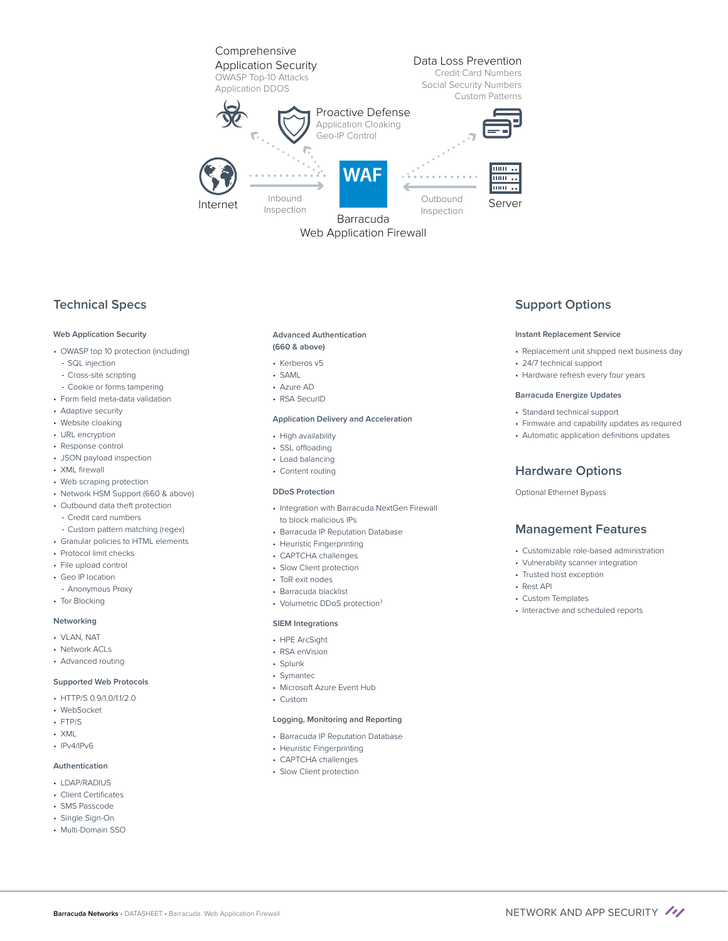

Web Application Firewall

## **Technical Specs**

#### **Web Application Security**

- OWASP top 10 protection (including)
- SQL injection
- Cross-site scripting
- Cookie or forms tampering
- Form field meta-data validation
- Adaptive security
- Website cloaking
- URL encryption
- Response control
- JSON payload inspection
- XML firewall
- Web scraping protection
- Network HSM Support (660 & above)
- Outbound data theft protection - Credit card numbers
- Custom pattern matching (regex)
- Granular policies to HTML elements
- Protocol limit checks
- File upload control
- Geo IP location
- Anonymous Proxy
- Tor Blocking

#### **Networking**

- VLAN, NAT
- Network ACLs
- Advanced routing

#### **Supported Web Protocols**

- $\cdot$  HTTP/S 0.9/1.0/11/2.0
- WebSocket
- FTP/S
- XML
- IPv4/IPv6

#### **Authentication**

- LDAP/RADIUS
- Client Certificates
- SMS Passcode
- Single Sign-On
- Multi-Domain SSO

#### **Advanced Authentication (660 & above)**

- Kerberos v5
- SAML
- Azure AD
- RSA SecurID

#### **Application Delivery and Acceleration**

- High availability
- SSL offloading
- Load balancing
- Content routing

#### **DDoS Protection**

- Integration with Barracuda NextGen Firewall to block malicious IPs
- Barracuda IP Reputation Database
- Heuristic Fingerprinting
- CAPTCHA challenges
- Slow Client protection
- ToR exit nodes
- Barracuda blacklist
- Volumetric DDoS protection<sup>3</sup>

#### **SIEM Integrations**

- HPE ArcSight
- RSA enVision
- Splunk
- Symantec
- Microsoft Azure Event Hub
- Custom

#### **Logging, Monitoring and Reporting**

- Barracuda IP Reputation Database
- Heuristic Fingerprinting
- CAPTCHA challenges
- Slow Client protection

## **Support Options**

#### **Instant Replacement Service**

- Replacement unit shipped next business day
- 24/7 technical support
- Hardware refresh every four years

#### **Barracuda Energize Updates**

- Standard technical support
- Firmware and capability updates as required
- Automatic application definitions updates

#### **Hardware Options**

#### Optional Ethernet Bypass

### **Management Features**

- Customizable role-based administration
- Vulnerability scanner integration
- Trusted host exception
- Rest API
- Custom Templates
- Interactive and scheduled reports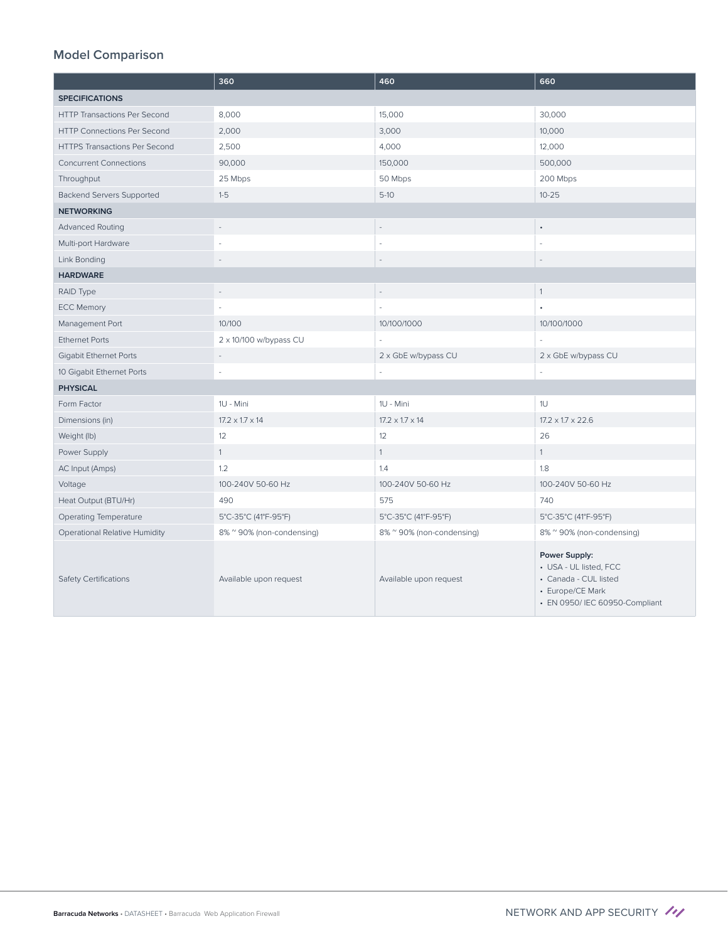|                                      | 360                         | 460                         | 660                                                                                                                    |
|--------------------------------------|-----------------------------|-----------------------------|------------------------------------------------------------------------------------------------------------------------|
| <b>SPECIFICATIONS</b>                |                             |                             |                                                                                                                        |
| <b>HTTP Transactions Per Second</b>  | 8,000                       | 15,000                      | 30,000                                                                                                                 |
| HTTP Connections Per Second          | 2,000                       | 3,000                       | 10,000                                                                                                                 |
| <b>HTTPS Transactions Per Second</b> | 2,500                       | 4,000                       | 12,000                                                                                                                 |
| <b>Concurrent Connections</b>        | 90,000                      | 150,000                     | 500,000                                                                                                                |
| Throughput                           | 25 Mbps                     | 50 Mbps                     | 200 Mbps                                                                                                               |
| Backend Servers Supported            | $1-5$                       | $5-10$                      | $10 - 25$                                                                                                              |
| <b>NETWORKING</b>                    |                             |                             |                                                                                                                        |
| <b>Advanced Routing</b>              |                             |                             | $\bullet$                                                                                                              |
| Multi-port Hardware                  |                             |                             |                                                                                                                        |
| Link Bonding                         |                             |                             |                                                                                                                        |
| <b>HARDWARE</b>                      |                             |                             |                                                                                                                        |
| RAID Type                            | $\overline{\phantom{a}}$    | $\overline{\phantom{a}}$    | $\mathbf{1}$                                                                                                           |
| <b>ECC Memory</b>                    |                             |                             |                                                                                                                        |
| Management Port                      | 10/100                      | 10/100/1000                 | 10/100/1000                                                                                                            |
| <b>Ethernet Ports</b>                | 2 x 10/100 w/bypass CU      |                             |                                                                                                                        |
| <b>Gigabit Ethernet Ports</b>        | $\overline{\phantom{a}}$    | 2 x GbE w/bypass CU         | 2 x GbE w/bypass CU                                                                                                    |
| 10 Gigabit Ethernet Ports            |                             |                             |                                                                                                                        |
| <b>PHYSICAL</b>                      |                             |                             |                                                                                                                        |
| Form Factor                          | 1U - Mini                   | 1U - Mini                   | 1U                                                                                                                     |
| Dimensions (in)                      | $17.2 \times 1.7 \times 14$ | $17.2 \times 1.7 \times 14$ | $17.2 \times 1.7 \times 22.6$                                                                                          |
| Weight (lb)                          | 12                          | 12                          | 26                                                                                                                     |
| Power Supply                         | $\mathbf{1}$                | $\mathbf{1}$                | 1                                                                                                                      |
| AC Input (Amps)                      | 1.2                         | 1.4                         | 1.8                                                                                                                    |
| Voltage                              | 100-240V 50-60 Hz           | 100-240V 50-60 Hz           | 100-240V 50-60 Hz                                                                                                      |
| Heat Output (BTU/Hr)                 | 490                         | 575                         | 740                                                                                                                    |
| <b>Operating Temperature</b>         | 5°C-35°C (41°F-95°F)        | 5°C-35°C (41°F-95°F)        | 5°C-35°C (41°F-95°F)                                                                                                   |
| Operational Relative Humidity        | 8% ~ 90% (non-condensing)   | 8% ~ 90% (non-condensing)   | 8% ~ 90% (non-condensing)                                                                                              |
| <b>Safety Certifications</b>         | Available upon request      | Available upon request      | Power Supply:<br>• USA - UL listed, FCC<br>• Canada - CUL listed<br>• Europe/CE Mark<br>• EN 0950/ IEC 60950-Compliant |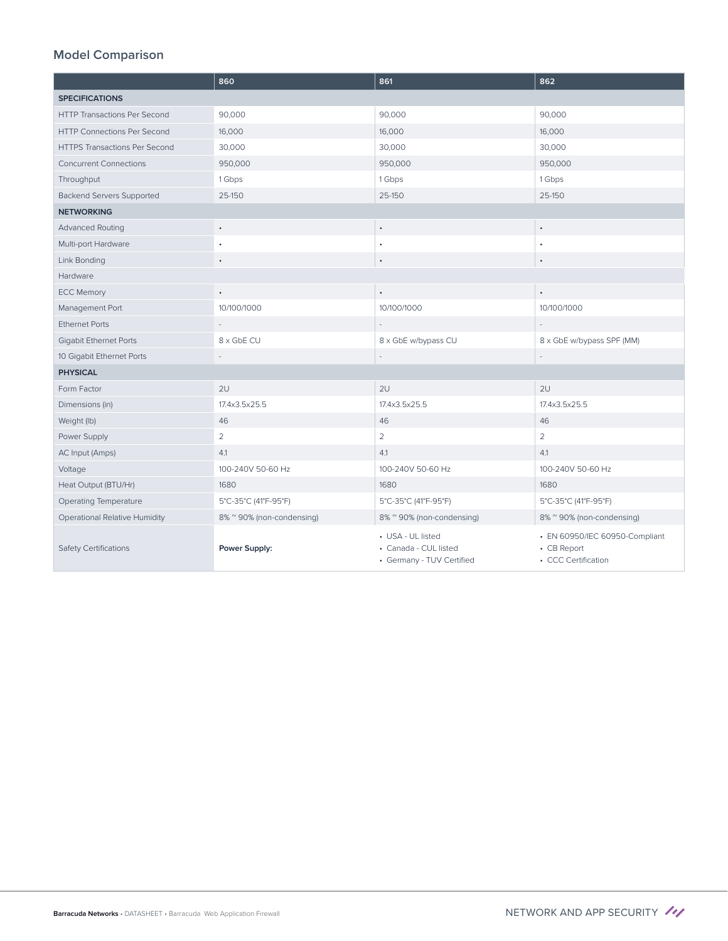|                                      | 860                       | 861                                                                     | 862                                                                  |
|--------------------------------------|---------------------------|-------------------------------------------------------------------------|----------------------------------------------------------------------|
| <b>SPECIFICATIONS</b>                |                           |                                                                         |                                                                      |
| <b>HTTP Transactions Per Second</b>  | 90,000                    | 90,000                                                                  | 90,000                                                               |
| <b>HTTP Connections Per Second</b>   | 16,000                    | 16,000                                                                  | 16,000                                                               |
| <b>HTTPS Transactions Per Second</b> | 30,000                    | 30,000                                                                  | 30,000                                                               |
| <b>Concurrent Connections</b>        | 950,000                   | 950,000                                                                 | 950,000                                                              |
| Throughput                           | 1 Gbps                    | 1 Gbps                                                                  | 1 Gbps                                                               |
| <b>Backend Servers Supported</b>     | 25-150                    | 25-150                                                                  | 25-150                                                               |
| <b>NETWORKING</b>                    |                           |                                                                         |                                                                      |
| <b>Advanced Routing</b>              | $\bullet$                 | $\bullet$                                                               | $\bullet$                                                            |
| Multi-port Hardware                  |                           | ٠                                                                       |                                                                      |
| Link Bonding                         |                           | $\bullet$                                                               | ٠                                                                    |
| Hardware                             |                           |                                                                         |                                                                      |
| <b>ECC Memory</b>                    | $\bullet$                 | $\bullet$                                                               | $\bullet$                                                            |
| Management Port                      | 10/100/1000               | 10/100/1000                                                             | 10/100/1000                                                          |
| <b>Ethernet Ports</b>                |                           |                                                                         |                                                                      |
| <b>Gigabit Ethernet Ports</b>        | 8 x GbE CU                | 8 x GbE w/bypass CU                                                     | 8 x GbE w/bypass SPF (MM)                                            |
| 10 Gigabit Ethernet Ports            |                           |                                                                         |                                                                      |
| <b>PHYSICAL</b>                      |                           |                                                                         |                                                                      |
| Form Factor                          | 2U                        | 2U                                                                      | 2U                                                                   |
| Dimensions (in)                      | 17.4x3.5x25.5             | 17.4x3.5x25.5                                                           | 17.4x3.5x25.5                                                        |
| Weight (lb)                          | 46                        | 46                                                                      | 46                                                                   |
| Power Supply                         | $\overline{2}$            | $\overline{2}$                                                          | $\overline{2}$                                                       |
| AC Input (Amps)                      | 4.1                       | 4.1                                                                     | 4.1                                                                  |
| Voltage                              | 100-240V 50-60 Hz         | 100-240V 50-60 Hz                                                       | 100-240V 50-60 Hz                                                    |
| Heat Output (BTU/Hr)                 | 1680                      | 1680                                                                    | 1680                                                                 |
| Operating Temperature                | 5°C-35°C (41°F-95°F)      | 5°C-35°C (41°F-95°F)                                                    | 5°C-35°C (41°F-95°F)                                                 |
| Operational Relative Humidity        | 8% ~ 90% (non-condensing) | 8% ~ 90% (non-condensing)                                               | 8% ~ 90% (non-condensing)                                            |
| <b>Safety Certifications</b>         | Power Supply:             | • USA - UL listed<br>• Canada - CUL listed<br>• Germany - TUV Certified | • EN 60950/IEC 60950-Compliant<br>• CB Report<br>• CCC Certification |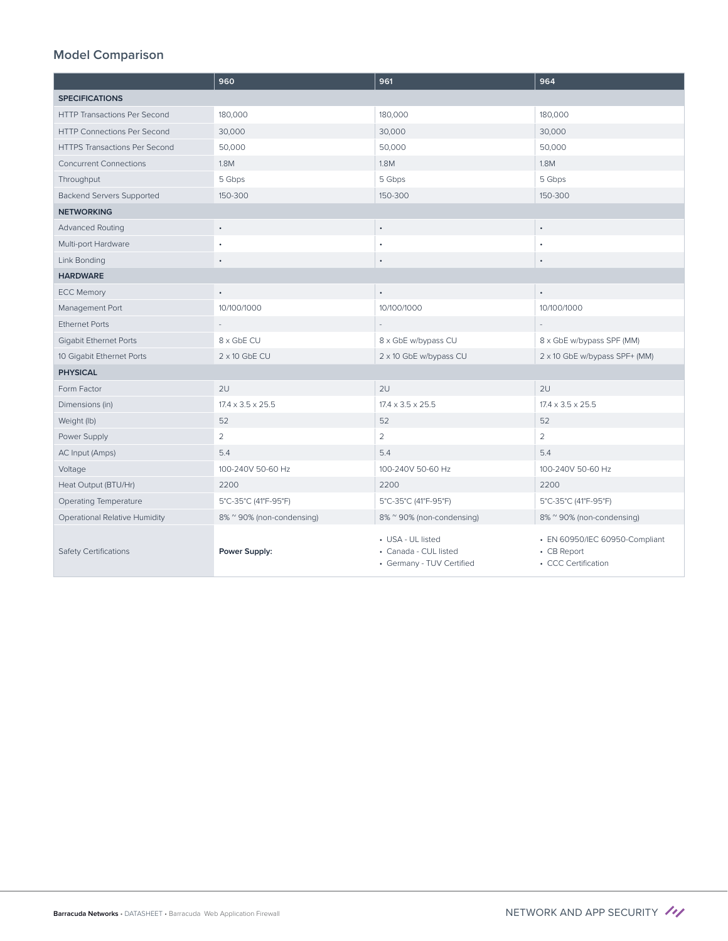|                                      | 960                           | 961                                                                     | 964                                                                  |
|--------------------------------------|-------------------------------|-------------------------------------------------------------------------|----------------------------------------------------------------------|
| <b>SPECIFICATIONS</b>                |                               |                                                                         |                                                                      |
| <b>HTTP Transactions Per Second</b>  | 180,000                       | 180,000                                                                 | 180,000                                                              |
| <b>HTTP Connections Per Second</b>   | 30,000                        | 30,000                                                                  | 30,000                                                               |
| <b>HTTPS Transactions Per Second</b> | 50,000                        | 50,000                                                                  | 50,000                                                               |
| <b>Concurrent Connections</b>        | 1.8M                          | 1.8M                                                                    | 1.8M                                                                 |
| Throughput                           | 5 Gbps                        | 5 Gbps                                                                  | 5 Gbps                                                               |
| <b>Backend Servers Supported</b>     | 150-300                       | 150-300                                                                 | 150-300                                                              |
| <b>NETWORKING</b>                    |                               |                                                                         |                                                                      |
| <b>Advanced Routing</b>              | $\bullet$                     | $\bullet$                                                               | $\bullet$                                                            |
| Multi-port Hardware                  |                               | $\bullet$                                                               |                                                                      |
| Link Bonding                         |                               | $\bullet$                                                               |                                                                      |
| <b>HARDWARE</b>                      |                               |                                                                         |                                                                      |
| <b>ECC Memory</b>                    | $\bullet$                     | $\bullet$                                                               | $\bullet$                                                            |
| Management Port                      | 10/100/1000                   | 10/100/1000                                                             | 10/100/1000                                                          |
| <b>Fthernet Ports</b>                |                               |                                                                         |                                                                      |
| <b>Gigabit Ethernet Ports</b>        | 8 x GbE CU                    | 8 x GbE w/bypass CU                                                     | 8 x GbE w/bypass SPF (MM)                                            |
| 10 Gigabit Ethernet Ports            | $2 \times 10$ GbE CU          | 2 x 10 GbE w/bypass CU                                                  | 2 x 10 GbE w/bypass SPF+ (MM)                                        |
| <b>PHYSICAL</b>                      |                               |                                                                         |                                                                      |
| Form Factor                          | 2U                            | 2U                                                                      | 2U                                                                   |
| Dimensions (in)                      | $17.4 \times 3.5 \times 25.5$ | $17.4 \times 3.5 \times 25.5$                                           | $17.4 \times 3.5 \times 25.5$                                        |
| Weight (lb)                          | 52                            | 52                                                                      | 52                                                                   |
| Power Supply                         | $\overline{2}$                | $\overline{2}$                                                          | $\overline{2}$                                                       |
| AC Input (Amps)                      | 5.4                           | 5.4                                                                     | 5.4                                                                  |
| Voltage                              | 100-240V 50-60 Hz             | 100-240V 50-60 Hz                                                       | 100-240V 50-60 Hz                                                    |
| Heat Output (BTU/Hr)                 | 2200                          | 2200                                                                    | 2200                                                                 |
| Operating Temperature                | 5°C-35°C (41°F-95°F)          | 5°C-35°C (41°F-95°F)                                                    | 5°C-35°C (41°F-95°F)                                                 |
| <b>Operational Relative Humidity</b> | 8% ~ 90% (non-condensing)     | 8% ~ 90% (non-condensing)                                               | 8% ~ 90% (non-condensing)                                            |
| <b>Safety Certifications</b>         | Power Supply:                 | • USA - UL listed<br>• Canada - CUL listed<br>• Germany - TUV Certified | • EN 60950/IEC 60950-Compliant<br>• CB Report<br>• CCC Certification |